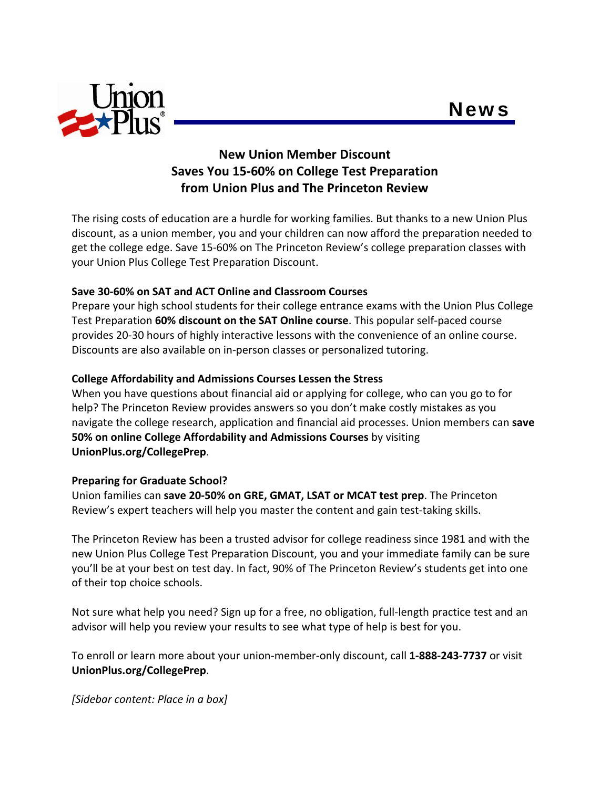



# **New Union Member Discount Saves You 15‐60% on College Test Preparation from Union Plus and The Princeton Review**

The rising costs of education are a hurdle for working families. But thanks to a new Union Plus discount, as a union member, you and your children can now afford the preparation needed to get the college edge. Save 15‐60% on The Princeton Review's college preparation classes with your Union Plus College Test Preparation Discount.

## **Save 30‐60% on SAT and ACT Online and Classroom Courses**

Prepare your high school students for their college entrance exams with the Union Plus College Test Preparation **60% discount on the SAT Online course**. This popular self‐paced course provides 20‐30 hours of highly interactive lessons with the convenience of an online course. Discounts are also available on in‐person classes or personalized tutoring.

### **College Affordability and Admissions Courses Lessen the Stress**

When you have questions about financial aid or applying for college, who can you go to for help? The Princeton Review provides answers so you don't make costly mistakes as you navigate the college research, application and financial aid processes. Union members can **save 50% on online College Affordability and Admissions Courses** by visiting **UnionPlus.org/CollegePrep**.

### **Preparing for Graduate School?**

Union families can **save 20‐50% on GRE, GMAT, LSAT or MCAT test prep**. The Princeton Review's expert teachers will help you master the content and gain test-taking skills.

The Princeton Review has been a trusted advisor for college readiness since 1981 and with the new Union Plus College Test Preparation Discount, you and your immediate family can be sure you'll be at your best on test day. In fact, 90% of The Princeton Review's students get into one of their top choice schools.

Not sure what help you need? Sign up for a free, no obligation, full-length practice test and an advisor will help you review your results to see what type of help is best for you.

To enroll or learn more about your union‐member‐only discount, call **1‐888‐243‐7737** or visit **UnionPlus.org/CollegePrep**.

*[Sidebar content: Place in a box]*